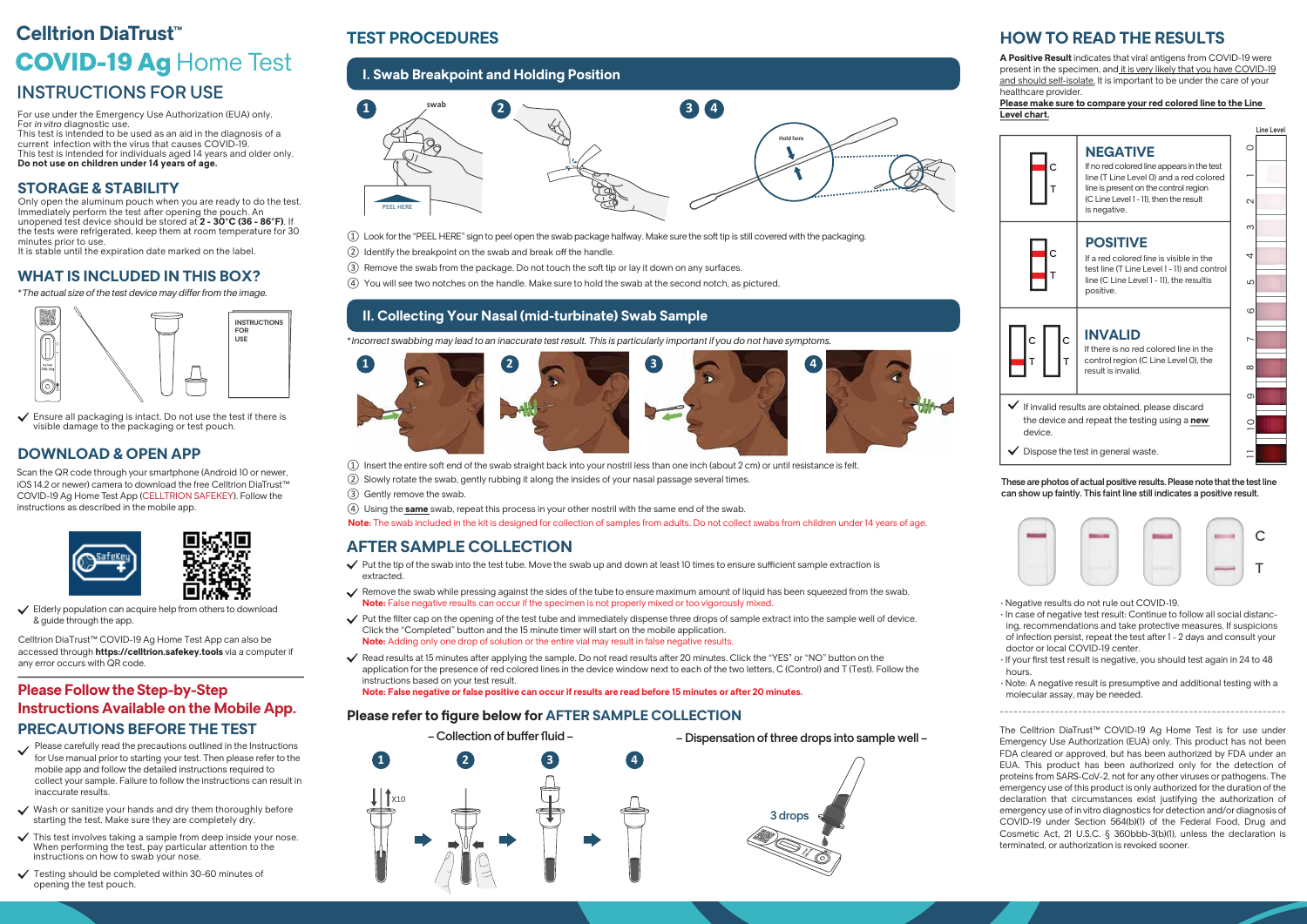- $\Omega$  Insert the entire soft end of the swab straight back into your nostril less than one inch (about 2 cm) or until resistance is felt.
- ༄ Slowly rotate the swab, gently rubbing it along the insides of your nasal passage several times.
- ༅ Gently remove the swab.
- ༆ Using the **same** swab, repeat this process in your other nostril with the same end of the swab.

Note: The swab included in the kit is designed for collection of samples from adults. Do not collect swabs from children under 14 years of age.

## **HOW TO READ THE RESULTS**

Line Level



## **AFTER SAMPLE COLLECTION**

## **TEST PROCEDURES**

- $\checkmark$  Put the tip of the swab into the test tube. Move the swab up and down at least 10 times to ensure sufficient sample extraction is extracted.
- Remove the swab while pressing against the sides of the tube to ensure maximum amount of liquid has been squeezed from the swab. **Note:** False negative results can occur if the specimen is not properly mixed or too vigorously mixed.
- $\checkmark$  Put the filter cap on the opening of the test tube and immediately dispense three drops of sample extract into the sample well of device. Click the "Completed" button and the 15 minute timer will start on the mobile application. **Note:** Adding only one drop of solution or the entire vial may result in false negative results.
- Read results at 15 minutes after applying the sample. Do not read results after 20 minutes. Click the "YES" or "NO" button on the application for the presence of red colored lines in the device window next to each of the two letters, C (Control) and T (Test). Follow the instructions based on your test result.

**Note: False negative or false positive can occur if results are read before 15 minutes or after 20 minutes.** 

|                                                                                                                                  | <b>NEGATIVE</b>                                                                                                                                                                          |          |
|----------------------------------------------------------------------------------------------------------------------------------|------------------------------------------------------------------------------------------------------------------------------------------------------------------------------------------|----------|
|                                                                                                                                  | If no red colored line appears in the test<br>line (T Line Level 0) and a red colored<br>line is present on the control region<br>(C Line Level 1 - 11), then the result<br>is negative. |          |
|                                                                                                                                  |                                                                                                                                                                                          | $\sim$   |
|                                                                                                                                  |                                                                                                                                                                                          | $\infty$ |
| C                                                                                                                                | <b>POSITIVE</b><br>If a red colored line is visible in the<br>test line (T Line Level 1 - 11) and control<br>line (C Line Level 1 - 11), the resultis<br>positive.                       | 4        |
|                                                                                                                                  |                                                                                                                                                                                          | 5        |
|                                                                                                                                  |                                                                                                                                                                                          | ဖ        |
|                                                                                                                                  | <b>INVALID</b><br>If there is no red colored line in the                                                                                                                                 | ∼        |
|                                                                                                                                  | control region (C Line Level 0), the<br>result is invalid.                                                                                                                               | $\infty$ |
|                                                                                                                                  | $\sigma$                                                                                                                                                                                 |          |
| $\blacktriangleright$ If invalid results are obtained, please discard<br>the device and repeat the testing using a new<br>device |                                                                                                                                                                                          |          |
| Dispose the test in general waste.                                                                                               |                                                                                                                                                                                          |          |

- ༃ Look for the "PEEL HERE" sign to peel open the swab package halfway. Make sure the soft tip is still covered with the packaging.
- (2) Identify the breakpoint on the swab and break off the handle.
- ༅ Remove the swab from the package. Do not touch the soft tip or lay it down on any surfaces.
- ༆ You will see two notches on the handle. Make sure to hold the swab at the second notch, as pictured.

These are photos of actual positive results. Please note that the test line can show up faintly. This faint line still indicates a positive result.









## **I. Swab Breakpoint and Holding Position**

## **II. Collecting Your Nasal (mid-turbinate) Swab Sample**



\**Incorrect swabbing may lead to an inaccurate test result. This is particularly important if you do not have symptoms.*

 $\checkmark$  Ensure all packaging is intact. Do not use the test if there is visible damage to the packaging or test pouch.



 $\checkmark$  Elderly population can acquire help from others to download & guide through the app.

- $\checkmark$  Please carefully read the precautions outlined in the Instructions for Use manual prior to starting your test. Then please refer to the mobile app and follow the detailed instructions required to collect your sample. Failure to follow the instructions can result in inaccurate results.
- $\checkmark$  Wash or sanitize your hands and dry them thoroughly before starting the test. Make sure they are completely dry.
- $\checkmark$  This test involves taking a sample from deep inside your nose. When performing the test, pay particular attention to the instructions on how to swab your nose.
- $\checkmark$  Testing should be completed within 30-60 minutes of opening the test pouch.

**A Positive Result** indicates that viral antigens from COVID-19 were present in the specimen, and it is very likely that you have COVID-19 and should self-isolate. It is important to be under the care of your healthcare provider.

**Please make sure to compare your red colored line to the Line Level chart.**

- Negative results do not rule out COVID-19.
- In case of negative test result: Continue to follow all social distancing, recommendations and take protective measures. If suspicions of infection persist, repeat the test after 1 - 2 days and consult your doctor or local COVID-19 center.
- If your first test result is negative, you should test again in 24 to 48 hours.
- Note: A negative result is presumptive and additional testing with a molecular assay, may be needed.

The Celltrion DiaTrust™ COVID-19 Ag Home Test is for use under Emergency Use Authorization (EUA) only. This product has not been FDA cleared or approved, but has been authorized by FDA under an EUA. This product has been authorized only for the detection of proteins from SARS-CoV-2, not for any other viruses or pathogens. The emergency use of this product is only authorized for the duration of the declaration that circumstances exist justifying the authorization of emergency use of in vitro diagnostics for detection and/or diagnosis of COVID-19 under Section 564(b)(1) of the Federal Food, Drug and Cosmetic Act, 21 U.S.C. § 360bbb-3(b)(1), unless the declaration is terminated, or authorization is revoked sooner.



For use under the Emergency Use Authorization (EUA) only. For *in vitro* diagnostic use.

This test is intended to be used as an aid in the diagnosis of a current infection with the virus that causes COVID-19. This test is intended for individuals aged 14 years and older only. **Do not use on children under 14 years of age.**

### **STORAGE & STABILITY**

## **WHAT IS INCLUDED IN THIS BOX?**

\**The actual size of the test device may differ from the image.* 

## **DOWNLOAD & OPEN APP**

## **PRECAUTIONS BEFORE THE TEST Please Follow the Step-by-Step Instructions Available on the Mobile App.**

Scan the QR code through your smartphone (Android 10 or newer, iOS 14.2 or newer) camera to download the free Celltrion DiaTrust™ COVID-19 Ag Home Test App (CELLTRION SAFEKEY). Follow the instructions as described in the mobile app.



Celltrion DiaTrust™ COVID-19 Ag Home Test App can also be accessed through **https://celltrion.safekey.tools** via a computer if any error occurs with QR code.

## **Please refer to figure below for AFTER SAMPLE COLLECTION**



Only open the aluminum pouch when you are ready to do the test. Immediately perform the test after opening the pouch. An unopened test device should be stored at **2 - 30°C (36 - 86°F)**. If the tests were refrigerated, keep them at room temperature for 30 minutes prior to use.

It is stable until the expiration date marked on the label.

## INSTRUCTIONS FOR USE

# COVID-19 Ag Home Test **Celltrion DiaTrust™**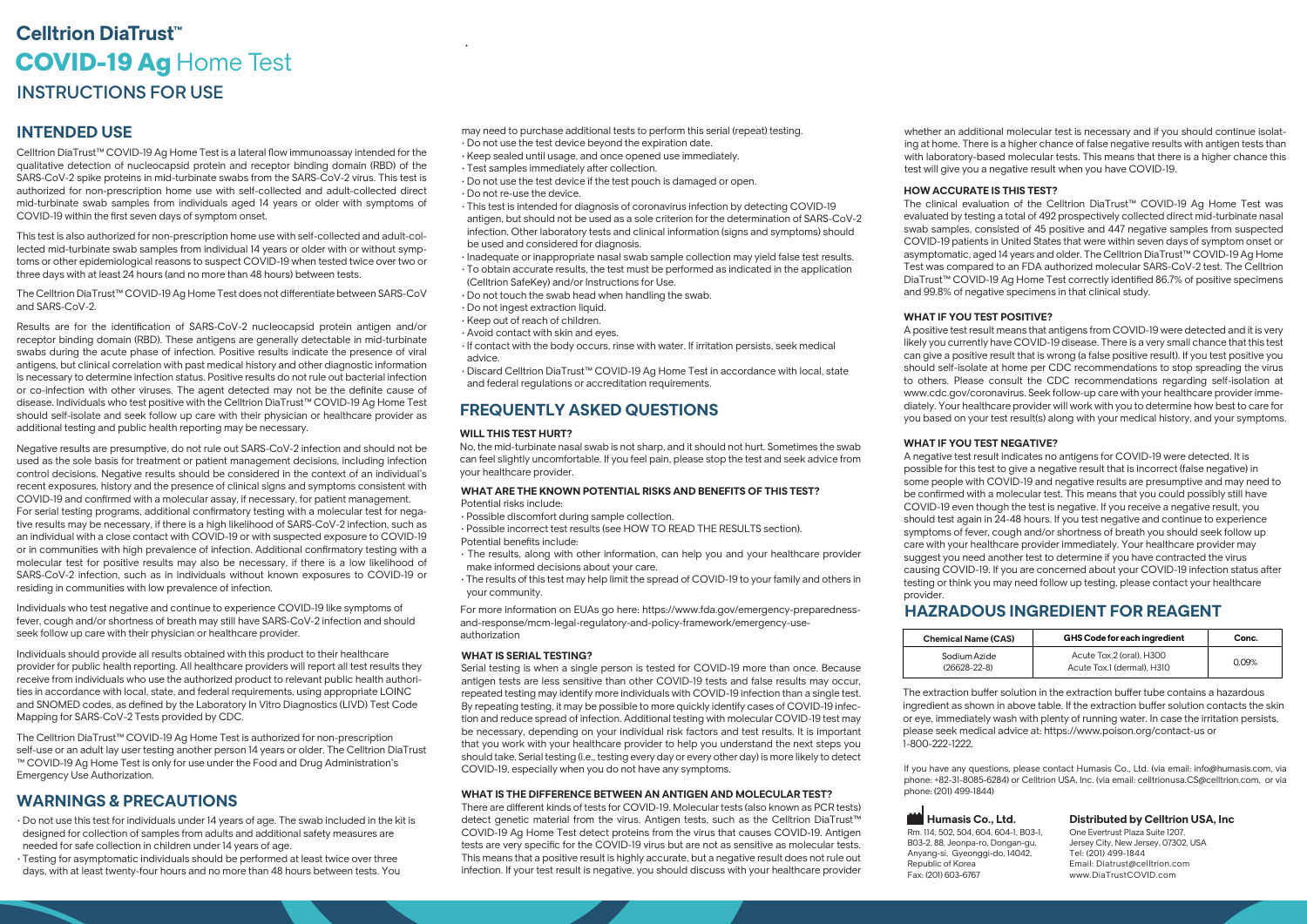Celltrion DiaTrust™ COVID-19 Ag Home Test is a lateral flow immunoassay intended for the qualitative detection of nucleocapsid protein and receptor binding domain (RBD) of the SARS-CoV-2 spike proteins in mid-turbinate swabs from the SARS-CoV-2 virus. This test is authorized for non-prescription home use with self-collected and adult-collected direct mid-turbinate swab samples from individuals aged 14 years or older with symptoms of COVID-19 within the first seven days of symptom onset.

The Celltrion DiaTrust™ COVID-19 Ag Home Test does not differentiate between SARS-CoV and SARS-CoV-2.

This test is also authorized for non-prescription home use with self-collected and adult-collected mid-turbinate swab samples from individual 14 years or older with or without symptoms or other epidemiological reasons to suspect COVID-19 when tested twice over two or three days with at least 24 hours (and no more than 48 hours) between tests.

Results are for the identification of SARS-CoV-2 nucleocapsid protein antigen and/or receptor binding domain (RBD). These antigens are generally detectable in mid-turbinate swabs during the acute phase of infection. Positive results indicate the presence of viral antigens, but clinical correlation with past medical history and other diagnostic information is necessary to determine infection status. Positive results do not rule out bacterial infection or co-infection with other viruses. The agent detected may not be the definite cause of disease. Individuals who test positive with the Celltrion DiaTrust™ COVID-19 Ag Home Test should self-isolate and seek follow up care with their physician or healthcare provider as additional testing and public health reporting may be necessary.

Negative results are presumptive, do not rule out SARS-CoV-2 infection and should not be used as the sole basis for treatment or patient management decisions, including infection control decisions. Negative results should be considered in the context of an individual's recent exposures, history and the presence of clinical signs and symptoms consistent with COVID-19 and confirmed with a molecular assay, if necessary, for patient management. For serial testing programs, additional confirmatory testing with a molecular test for negative results may be necessary, if there is a high likelihood of SARS-CoV-2 infection, such as an individual with a close contact with COVID-19 or with suspected exposure to COVID-19 or in communities with high prevalence of infection. Additional confirmatory testing with a molecular test for positive results may also be necessary, if there is a low likelihood of SARS-CoV-2 infection, such as in individuals without known exposures to COVID-19 or residing in communities with low prevalence of infection.

Individuals who test negative and continue to experience COVID-19 like symptoms of fever, cough and/or shortness of breath may still have SARS-CoV-2 infection and should seek follow up care with their physician or healthcare provider.

Individuals should provide all results obtained with this product to their healthcare provider for public health reporting. All healthcare providers will report all test results they receive from individuals who use the authorized product to relevant public health authorities in accordance with local, state, and federal requirements, using appropriate LOINC and SNOMED codes, as defined by the Laboratory In Vitro Diagnostics (LIVD) Test Code Mapping for SARS-CoV-2 Tests provided by CDC.

The extraction buffer solution in the extraction buffer tube contains a hazardous ingredient as shown in above table. If the extraction buffer solution contacts the skin or eye, immediately wash with plenty of running water. In case the irritation persists, please seek medical advice at: https://www.poison.org/contact-us or 1-800-222-1222.

The Celltrion DiaTrust™ COVID-19 Ag Home Test is authorized for non-prescription self-use or an adult lay user testing another person 14 years or older. The Celltrion DiaTrust ™ COVID-19 Ag Home Test is only for use under the Food and Drug Administration's Emergency Use Authorization.

- Do not use this test for individuals under 14 years of age. The swab included in the kit is designed for collection of samples from adults and additional safety measures are needed for safe collection in children under 14 years of age.
- Testing for asymptomatic individuals should be performed at least twice over three days, with at least twenty-four hours and no more than 48 hours between tests. You

#### **WILL THIS TEST HURT?**

No, the mid-turbinate nasal swab is not sharp, and it should not hurt. Sometimes the swab can feel slightly uncomfortable. If you feel pain, please stop the test and seek advice from your healthcare provider.

## **WARNINGS & PRECAUTIONS**

## **FREQUENTLY ASKED QUESTIONS**

## **HAZRADOUS INGREDIENT FOR REAGENT**

| <b>Chemical Name</b> |
|----------------------|
| Sodium Azic          |
| (26628-22-8          |

#### **HOW ACCURATE IS THIS TEST?**

The clinical evaluation of the Celltrion DiaTrust evaluated by testing a total of 492 prospection swab samples, consisted of 45 positive and COVID-19 patients in United States that were asymptomatic, aged 14 years and older. The Cu Test was compared to an FDA authorized mole DiaTrust™ COVID-19 Ag Home Test correctly identified 8 and 99.8% of negative specimens in that clinical sub-

There are different kinds of tests for COVID-19. Molecular tests (also known as PCR tests) detect genetic material from the virus. Antigen tests, such as the Celltrion DiaTrust™ COVID-19 Ag Home Test detect proteins from the virus that causes COVID-19. Antigen tests are very specific for the COVID-19 virus but are not as sensitive as molecular tests. This means that a positive result is highly accurate, but a negative result does not rule out infection. If your test result is negative, you should discuss with your healthcare provider

#### **WHAT IF YOU TEST POSITIVE?**

A positive test result means that antigens from COVID-19 likely you currently have COVID-19 disease. There is a very can give a positive result that is wrong (a false positive result). should self-isolate at home per CDC recommendations to stop. to others. Please consult the CDC recommendations regarding www.cdc.gov/coronavirus. Seek follow-up care with your healthcare provider diately. Your healthcare provider will work with you to determine how best to  $\circ$ you based on your test result(s) along with your medical history, and your symptoms.

#### **WHAT IF YOU TEST NEGATIVE?**

A negative test result indicates no antigens for COVID-19 were detected. It is possible for this test to give a negative result that is incorrect (false negative) in some people with COVID-19 and negative results are presumptive and may need to be confirmed with a molecular test. This means that you could possibly still have COVID-19 even though the test is negative. If you receive a negative result, you should test again in 24-48 hours. If you test negative and continue to experience symptoms of fever, cough and/or shortness of breath you should seek follow up care with your healthcare provider immediately. Your healthcare provider may suggest you need another test to determine if you have contracted the virus causing COVID-19. If you are concerned about your COVID-19 infection status after testing or think you may need follow up testing, please contact your healthcare provider.

# **Humasis Co., Ltd.**

Rm. 114, 502, 504, 604, 604-1, B03-1, B03-2, 88, Jeonpa-ro, Dongan-gu, Anyang-si, Gyeonggi-do, 14042, Republic of Korea Fax: (201) 603-6767

whether an additional molecular test is necessary and if you should continue isolating at home. There is a higher chance of false negative results with antigen tests than with laboratory-based molecular tests. This means that there is a higher chance this test will give you a negative result when you have COVID-19.

### **Distributed by Celltrion USA, Inc**

One Evertrust Plaza Suite 1207, Jersey City, New Jersey, 07302, USA Tel: (201) 499-1844 Email: Diatrust@celltrion.com www.DiaTrustCOVID.com

If you have any questions, please contact Humasis Co., Ltd. (via email: info@humasis.com, via phone: +82-31-8085-6284) or Celltrion USA, Inc. (via email: celltrionusa.CS@celltrion.com, or via phone: (201) 499-1844)

#### **WHAT IS SERIAL TESTING?**

## **INTENDED USE** INSTRUCTIONS FOR USE Ag Home Test **Celltrion DiaTrust™**

Serial testing is when a single person is tested for COVID-19 more than once. Because antigen tests are less sensitive than other COVID-19 tests and false results may occur, repeated testing may identify more individuals with COVID-19 infection than a single test. By repeating testing, it may be possible to more quickly identify cases of COVID-19 infection and reduce spread of infection. Additional testing with molecular COVID-19 test may be necessary, depending on your individual risk factors and test results. It is important that you work with your healthcare provider to help you understand the next steps you should take. Serial testing (i.e., testing every day or every other day) is more likely to detect COVID-19, especially when you do not have any symptoms.

#### **WHAT IS THE DIFFERENCE BETWEEN AN ANTIGEN AND MOLECULAR TEST?**

| <b>Chemical Name (CAS)</b>         | GHS Code for each ingredient                           | Conc.  |
|------------------------------------|--------------------------------------------------------|--------|
| Sodium Azide<br>$(26628 - 22 - 8)$ | Acute Tox.2 (oral), H300<br>Acute Tox.1 (dermal), H310 | O.O.9% |

- may need to purchase additional tests to perform this serial (repeat) testing.
- Do not use the test device beyond the expiration date.
- Keep sealed until usage, and once opened use immediately.
- Test samples immediately after collection.
- Do not use the test device if the test pouch is damaged or open.
- Do not re-use the device.
- This test is intended for diagnosis of coronavirus infection by detecting COVID-19 antigen, but should not be used as a sole criterion for the determination of SARS-CoV-2 infection. Other laboratory tests and clinical information (signs and symptoms) should be used and considered for diagnosis.
- Inadequate or inappropriate nasal swab sample collection may yield false test results.
- To obtain accurate results, the test must be performed as indicated in the application
- (Celltrion SafeKey) and/or Instructions for Use.
- Do not touch the swab head when handling the swab.
- Do not ingest extraction liquid.
- Keep out of reach of children.
- Avoid contact with skin and eyes.
- If contact with the body occurs, rinse with water. If irritation persists, seek medical advice.
- Discard Celltrion DiaTrust™ COVID-19 Ag Home Test in accordance with local, state and federal regulations or accreditation requirements.

[For more information on EUAs go here: https://www.fda.gov/emergency-preparedness](https://www.fda.gov/emergency-preparedness-and-response/mcm-legal-regulatory-and-policy-framework/emergency-use-authorization)and-response/mcm-legal-regulatory-and-policy-framework/emergency-useauthorization

#### **WHAT ARE THE KNOWN POTENTIAL RISKS AND BENEFITS OF THIS TEST?** Potential risks include:

- Possible discomfort during sample collection.
- Possible incorrect test results (see HOW TO READ THE RESULTS section). Potential benefits include:
- The results, along with other information, can help you and your healthcare provider make informed decisions about your care.
- The results of this test may help limit the spread of COVID-19 to your family and others in your community.

•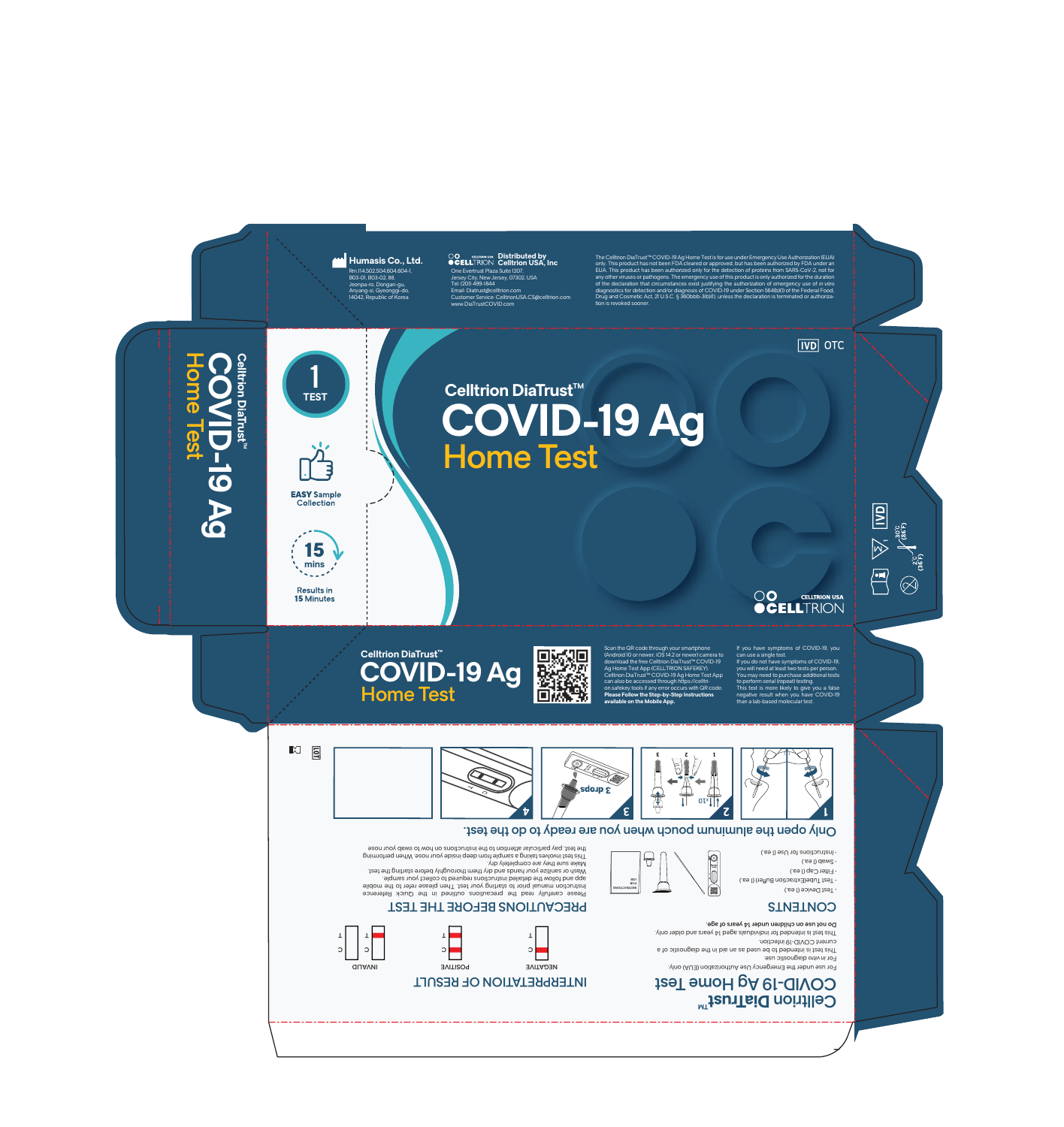

#### PRECAUTIONS BEFORE THE TEST Do not use on children under 14 years of age. This test is intended for individuals aged 14 years and older only.  $\mathbf{T}$  ,  $\mathsf T$  $\mathsf T$  $\mathsf T$ current COVID-19 infection. This test is intended to be used as an aid in the diagnostic of a C C C  $\overline{\phantom{a}}$ C ▀ For in vitro diagnostic use. For use under the Emergency Use Authorization (EUA) only. POSITIVE NEGATIVE INVALID COVID-19 Ag Home Test **RESULT FRESOLT** Celltrion DiaTrust<sup>m</sup>

### **CONTENTS**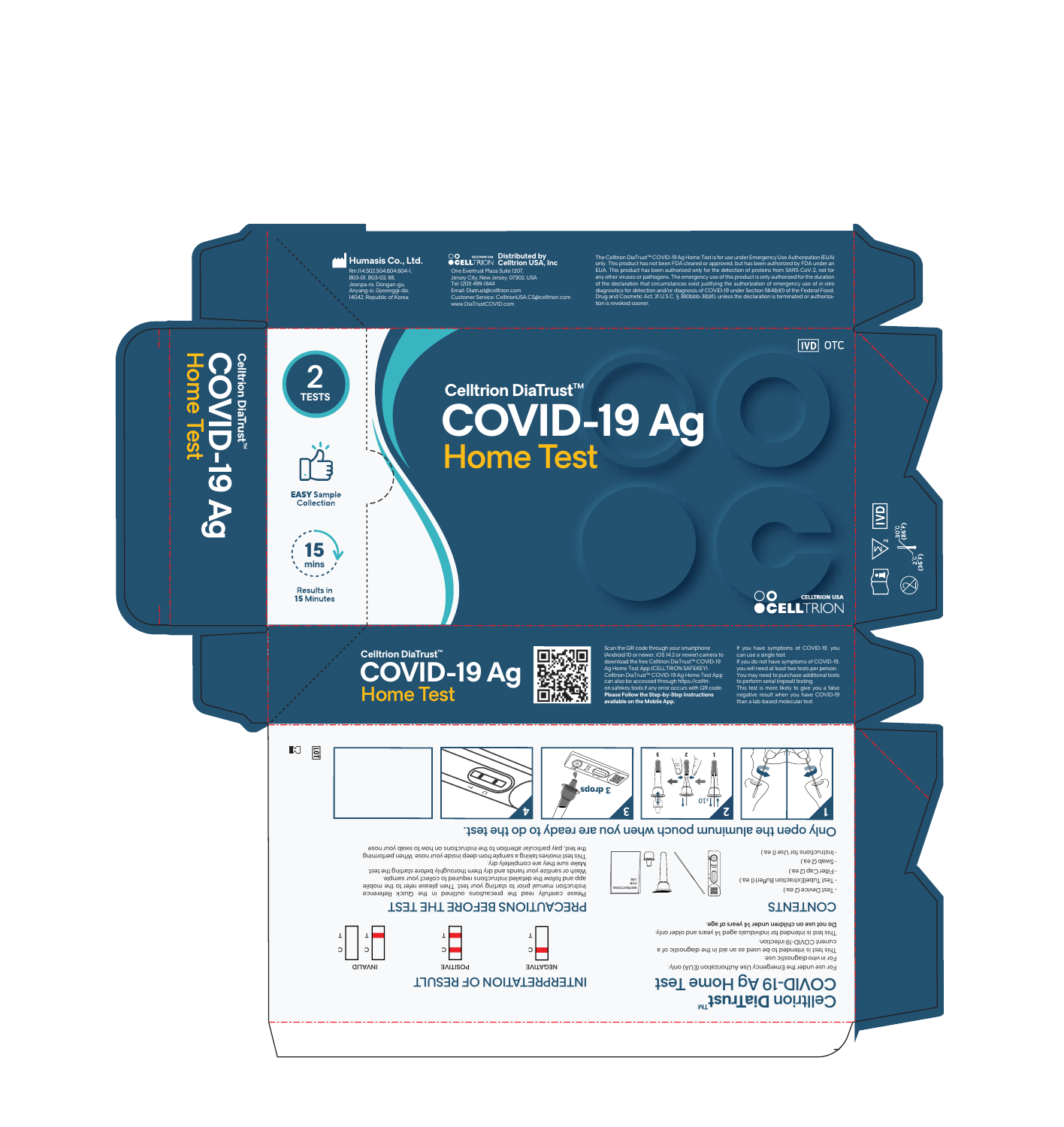

#### TENTS ENTERTING ENTERTION ENTIMAL SELORE THE TEST Do not use on children under 14 years of age. This test is intended for individuals aged 14 years and older only.  $\mathbf{T}$  ,  $\mathsf T$  $\mathsf T$  $\mathsf T$ current COVID-19 infection. This test is intended to be used as an aid in the diagnostic of a C C C  $\overline{\phantom{a}}$ C ▀ For in vitro diagnostic use. For use under the Emergency Use Authorization (EUA) only. POSITIVE NEGATIVE INVALID COVID-19 Ag Home Test **RESULT FRESOLT** Celltrion DiaTrust<sup>m</sup>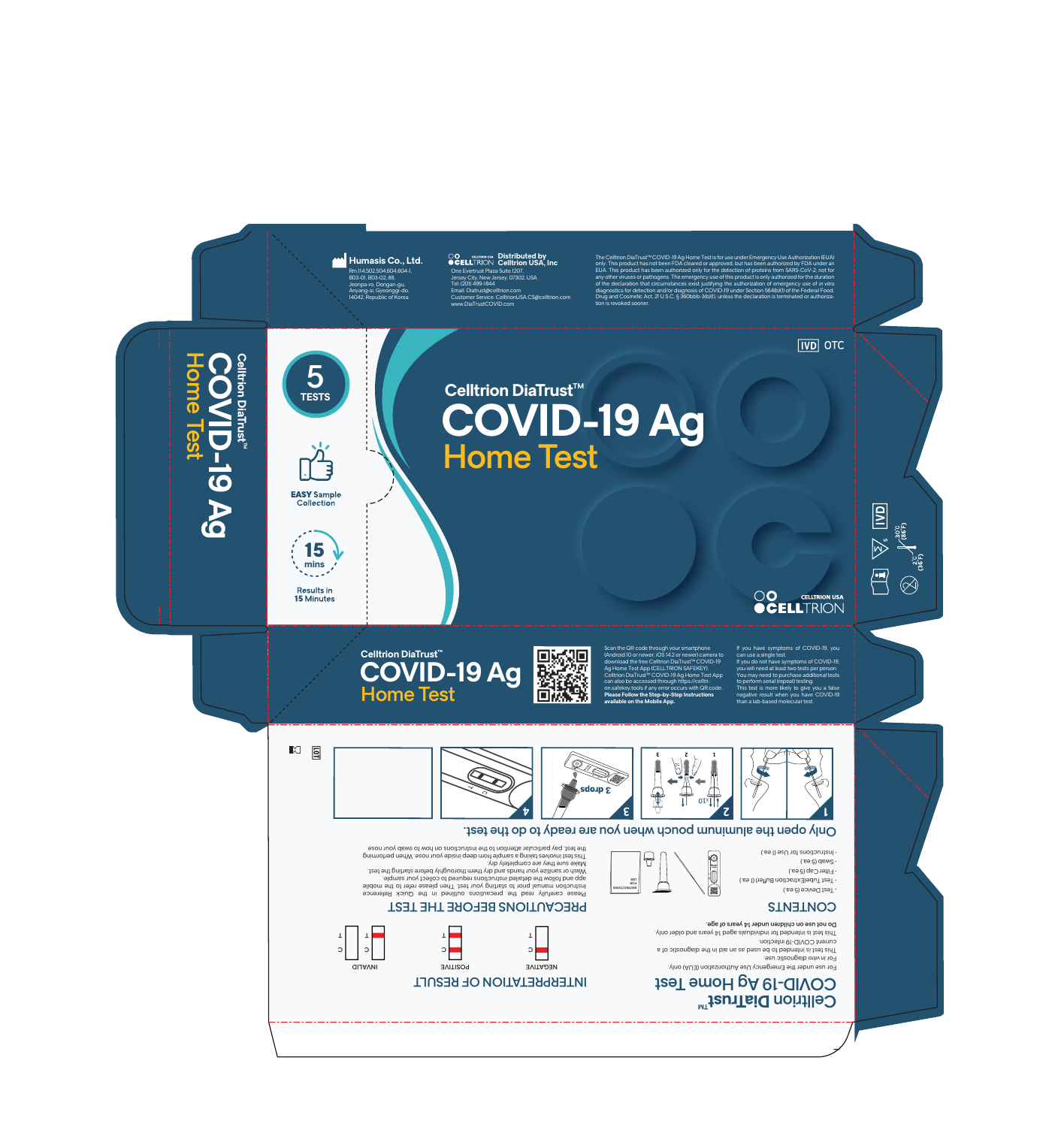

#### TENTS ENTERTING ENTERTION ENTIMAL SELORE THE TEST Do not use on children under 14 years of age. This test is intended for individuals aged 14 years and older only.  $\mathbf{T}$  ,  $\mathsf T$  $\mathsf T$  $\mathsf T$ current COVID-19 infection. This test is intended to be used as an aid in the diagnostic of a C C C  $\overline{\phantom{a}}$ C ▀ For in vitro diagnostic use. For use under the Emergency Use Authorization (EUA) only. POSITIVE NEGATIVE INVALID COVID-19 Ag Home Test **RESULT FRESOLT** Celltrion DiaTrust<sup>m</sup>